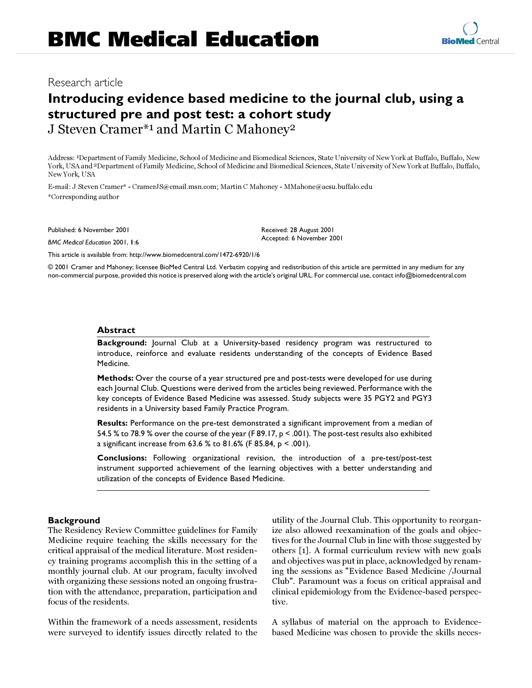# Research article

# **Introducing evidence based medicine to the journal club, using a structured pre and post test: a cohort study**

J Steven Cramer\*1 and Martin C Mahoney2

Address: 1Department of Family Medicine, School of Medicine and Biomedical Sciences, State University of New York at Buffalo, Buffalo, New York, USA and 2Department of Family Medicine, School of Medicine and Biomedical Sciences, State University of New York at Buffalo, Buffalo, New York, USA

E-mail: J Steven Cramer\* - CramerJS@email.msn.com; Martin C Mahoney - MMahone@acsu.buffalo.edu \*Corresponding author

Published: 6 November 2001

*BMC Medical Education* 2001, **1**:6

Received: 28 August 2001 Accepted: 6 November 2001

[This article is available from: http://www.biomedcentral.com/1472-6920/1/6](http://www.biomedcentral.com/1472-6920/1/6)

© 2001 Cramer and Mahoney; licensee BioMed Central Ltd. Verbatim copying and redistribution of this article are permitted in any medium for any non-commercial purpose, provided this notice is preserved along with the article's original URL. For commercial use, contact info@biomedcentral.com

### **Abstract**

**Background:** Journal Club at a University-based residency program was restructured to introduce, reinforce and evaluate residents understanding of the concepts of Evidence Based Medicine.

**Methods:** Over the course of a year structured pre and post-tests were developed for use during each Journal Club. Questions were derived from the articles being reviewed. Performance with the key concepts of Evidence Based Medicine was assessed. Study subjects were 35 PGY2 and PGY3 residents in a University based Family Practice Program.

**Results:** Performance on the pre-test demonstrated a significant improvement from a median of 54.5 % to 78.9 % over the course of the year (F 89.17, p < .001). The post-test results also exhibited a significant increase from 63.6 % to 81.6% (F 85.84, p < .001).

**Conclusions:** Following organizational revision, the introduction of a pre-test/post-test instrument supported achievement of the learning objectives with a better understanding and utilization of the concepts of Evidence Based Medicine.

# **Background**

The Residency Review Committee guidelines for Family Medicine require teaching the skills necessary for the critical appraisal of the medical literature. Most residency training programs accomplish this in the setting of a monthly journal club. At our program, faculty involved with organizing these sessions noted an ongoing frustration with the attendance, preparation, participation and focus of the residents.

Within the framework of a needs assessment, residents were surveyed to identify issues directly related to the

utility of the Journal Club. This opportunity to reorganize also allowed reexamination of the goals and objectives for the Journal Club in line with those suggested by others [[1\]](#page-3-0). A formal curriculum review with new goals and objectives was put in place, acknowledged by renaming the sessions as "Evidence Based Medicine /Journal Club". Paramount was a focus on critical appraisal and clinical epidemiology from the Evidence-based perspective.

A syllabus of material on the approach to Evidencebased Medicine was chosen to provide the skills neces-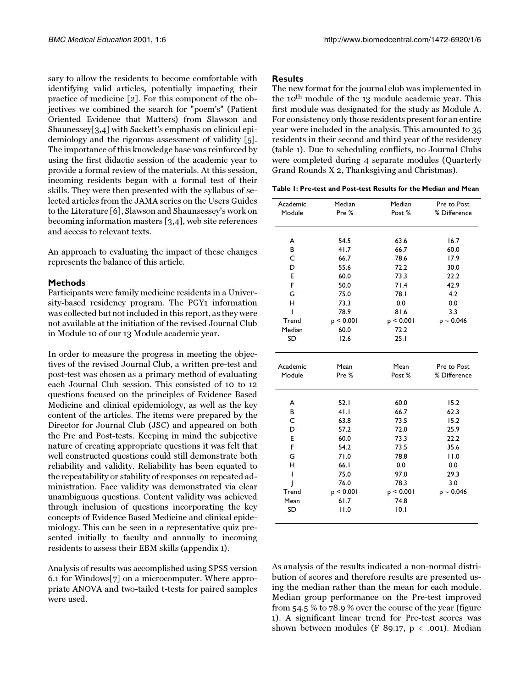sary to allow the residents to become comfortable with identifying valid articles, potentially impacting their practice of medicine [[2](#page-3-1)]. For this component of the objectives we combined the search for "poem's" (Patient Oriented Evidence that Matters) from Slawson and Shaunessey[[3](#page-3-2),[4](#page-3-3)] with Sackett's emphasis on clinical epidemiology and the rigorous assessment of validity [[5\]](#page-3-4). The importance of this knowledge base was reinforced by using the first didactic session of the academic year to provide a formal review of the materials. At this session, incoming residents began with a formal test of their skills. They were then presented with the syllabus of selected articles from the JAMA series on the Users Guides to the Literature [\[6\]](#page-3-5), Slawson and Shaunsessey's work on becoming information masters [[3](#page-3-2)[,4](#page-3-3)], web site references and access to relevant texts.

An approach to evaluating the impact of these changes represents the balance of this article.

# **Methods**

Participants were family medicine residents in a University-based residency program. The PGY1 information was collected but not included in this report, as they were not available at the initiation of the revised Journal Club in Module 10 of our 13 Module academic year.

In order to measure the progress in meeting the objectives of the revised Journal Club, a written pre-test and post-test was chosen as a primary method of evaluating each Journal Club session. This consisted of 10 to 12 questions focused on the principles of Evidence Based Medicine and clinical epidemiology, as well as the key content of the articles. The items were prepared by the Director for Journal Club (JSC) and appeared on both the Pre and Post-tests. Keeping in mind the subjective nature of creating appropriate questions it was felt that well constructed questions could still demonstrate both reliability and validity. Reliability has been equated to the repeatability or stability of responses on repeated administration. Face validity was demonstrated via clear unambiguous questions. Content validity was achieved through inclusion of questions incorporating the key concepts of Evidence Based Medicine and clinical epidemiology. This can be seen in a representative quiz presented initially to faculty and annually to incoming residents to assess their EBM skills (appendix 1).

Analysis of results was accomplished using SPSS version 6.1 for Windows[[7\]](#page-3-6) on a microcomputer. Where appropriate ANOVA and two-tailed t-tests for paired samples were used.

#### **Results**

<span id="page-1-0"></span>The new format for the journal club was implemented in the 10<sup>th</sup> module of the 13 module academic year. This first module was designated for the study as Module A. For consistency only those residents present for an entire year were included in the analysis. This amounted to 35 residents in their second and third year of the residency (table [1](#page-1-0)). Due to scheduling conflicts, no Journal Clubs were completed during 4 separate modules (Quarterly Grand Rounds X 2, Thanksgiving and Christmas).

**Table 1: Pre-test and Post-test Results for the Median and Mean**

| Academic  | Median    | Median    | Pre to Post    |
|-----------|-----------|-----------|----------------|
| Module    | Pre %     | Post %    | % Difference   |
|           |           |           |                |
| A         | 54.5      | 63.6      | 16.7           |
| B         | 41.7      | 66.7      | 60.0           |
| C         | 66.7      | 78.6      | 17.9           |
| D         | 55.6      | 72.2      | 30.0           |
| E         | 60.0      | 73.3      | 22.2           |
| F         | 50.0      | 71.4      | 42.9           |
| G         | 75.0      | 78.I      | 4.2            |
| н         | 73.3      | 0.0       | 0.0            |
| T         | 78.9      | 81.6      | 3.3            |
| Trend     | p < 0.001 | p < 0.001 | $p \sim 0.046$ |
| Median    | 60.0      | 72.2      |                |
| <b>SD</b> | 12.6      | 25.1      |                |
| Academic  | Mean      | Mean      | Pre to Post    |
| Module    | Pre %     | Post %    | % Difference   |
| A         | 52.1      | 60.0      | 15.2           |
| В         | 41.1      | 66.7      | 62.3           |
| C         | 63.8      | 73.5      | 15.2           |
| D         | 57.2      | 72.0      | 25.9           |
| E         | 60.0      | 73.3      | 22.2           |
| F         | 54.2      | 73.5      | 35.6           |
| G         | 71.0      | 78.8      | 11.0           |
| н         | 66.1      | 0.0       | 0.0            |
| ı         | 75.0      | 97.0      | 29.3           |
|           | 76.0      | 78.3      | 3.0            |
| I         |           |           |                |
| Trend     | p < 0.001 | p < 0.001 | $p \sim 0.046$ |
| Mean      | $61.7$    | 74.8      |                |

As analysis of the results indicated a non-normal distribution of scores and therefore results are presented using the median rather than the mean for each module. Median group performance on the Pre-test improved from 54.5 % to 78.9 % over the course of the year (figure [1](#page-2-0)). A significant linear trend for Pre-test scores was shown between modules (F 89.17,  $p < .001$ ). Median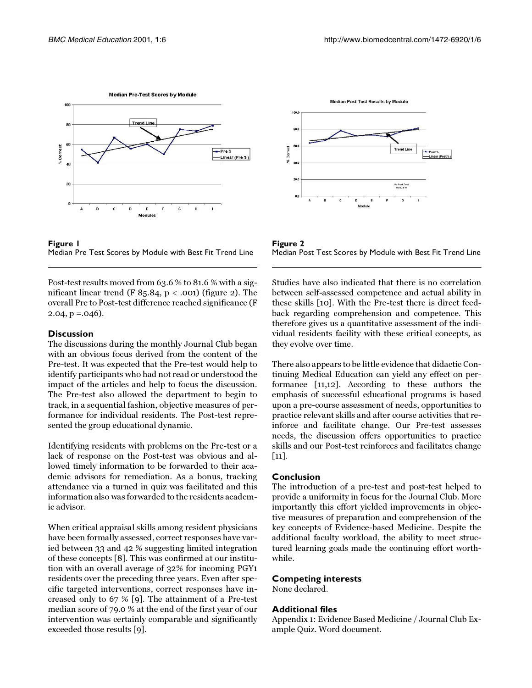

<span id="page-2-0"></span>

Post-test results moved from 63.6 % to 81.6 % with a significant linear trend (F 85.84,  $p < .001$ ) (figure [2](#page-2-1)). The overall Pre to Post-test difference reached significance (F  $2.04$ ,  $p = .046$ ).

#### **Discussion**

The discussions during the monthly Journal Club began with an obvious focus derived from the content of the Pre-test. It was expected that the Pre-test would help to identify participants who had not read or understood the impact of the articles and help to focus the discussion. The Pre-test also allowed the department to begin to track, in a sequential fashion, objective measures of performance for individual residents. The Post-test represented the group educational dynamic.

Identifying residents with problems on the Pre-test or a lack of response on the Post-test was obvious and allowed timely information to be forwarded to their academic advisors for remediation. As a bonus, tracking attendance via a turned in quiz was facilitated and this information also was forwarded to the residents academic advisor.

When critical appraisal skills among resident physicians have been formally assessed, correct responses have varied between 33 and 42 % suggesting limited integration of these concepts [\[8\]](#page-3-7). This was confirmed at our institution with an overall average of 32% for incoming PGY1 residents over the preceding three years. Even after specific targeted interventions, correct responses have increased only to 67 % [\[9\]](#page-3-8). The attainment of a Pre-test median score of 79.0 % at the end of the first year of our intervention was certainly comparable and significantly exceeded those results [\[9\]](#page-3-8).



<span id="page-2-1"></span>**Figure 2** Median Post Test Scores by Module with Best Fit Trend Line

Studies have also indicated that there is no correlation between self-assessed competence and actual ability in these skills [\[10](#page-3-9)]. With the Pre-test there is direct feedback regarding comprehension and competence. This therefore gives us a quantitative assessment of the individual residents facility with these critical concepts, as they evolve over time.

There also appears to be little evidence that didactic Continuing Medical Education can yield any effect on performance [[11,](#page-3-10)[12](#page-3-11)]. According to these authors the emphasis of successful educational programs is based upon a pre-course assessment of needs, opportunities to practice relevant skills and after course activities that reinforce and facilitate change. Our Pre-test assesses needs, the discussion offers opportunities to practice skills and our Post-test reinforces and facilitates change [[11](#page-3-10)].

# **Conclusion**

The introduction of a pre-test and post-test helped to provide a uniformity in focus for the Journal Club. More importantly this effort yielded improvements in objective measures of preparation and comprehension of the key concepts of Evidence-based Medicine. Despite the additional faculty workload, the ability to meet structured learning goals made the continuing effort worthwhile.

#### **Competing interests**

None declared.

# **Additional files**

Appendix 1: Evidence Based Medicine / Journal Club Example Quiz. Word document.